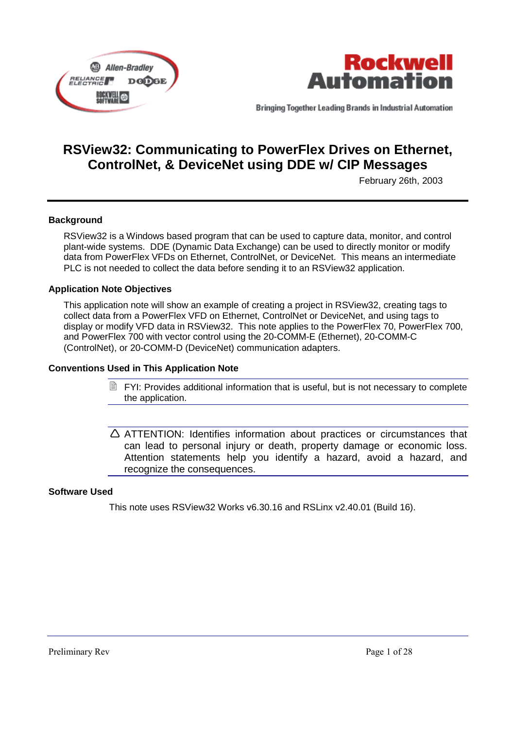



**Bringing Together Leading Brands in Industrial Automation** 

# **RSView32: Communicating to PowerFlex Drives on Ethernet, ControlNet, & DeviceNet using DDE w/ CIP Messages**

February 26th, 2003

#### **Background**

RSView32 is a Windows based program that can be used to capture data, monitor, and control plant-wide systems. DDE (Dynamic Data Exchange) can be used to directly monitor or modify data from PowerFlex VFDs on Ethernet, ControlNet, or DeviceNet. This means an intermediate PLC is not needed to collect the data before sending it to an RSView32 application.

#### **Application Note Objectives**

This application note will show an example of creating a project in RSView32, creating tags to collect data from a PowerFlex VFD on Ethernet, ControlNet or DeviceNet, and using tags to display or modify VFD data in RSView32. This note applies to the PowerFlex 70, PowerFlex 700, and PowerFlex 700 with vector control using the 20-COMM-E (Ethernet), 20-COMM-C (ControlNet), or 20-COMM-D (DeviceNet) communication adapters.

#### **Conventions Used in This Application Note**

- $\Box$  FYI: Provides additional information that is useful, but is not necessary to complete the application.
- $\triangle$  ATTENTION: Identifies information about practices or circumstances that can lead to personal injury or death, property damage or economic loss. Attention statements help you identify a hazard, avoid a hazard, and recognize the consequences.

#### **Software Used**

This note uses RSView32 Works v6.30.16 and RSLinx v2.40.01 (Build 16).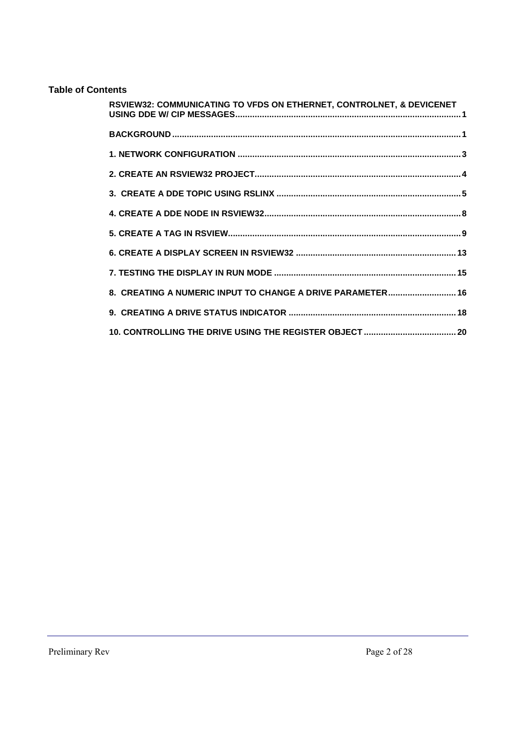# **Table of Contents**

| RSVIEW32: COMMUNICATING TO VFDS ON ETHERNET, CONTROLNET, & DEVICENET |
|----------------------------------------------------------------------|
|                                                                      |
|                                                                      |
|                                                                      |
|                                                                      |
|                                                                      |
|                                                                      |
|                                                                      |
|                                                                      |
| 8. CREATING A NUMERIC INPUT TO CHANGE A DRIVE PARAMETER 16           |
|                                                                      |
|                                                                      |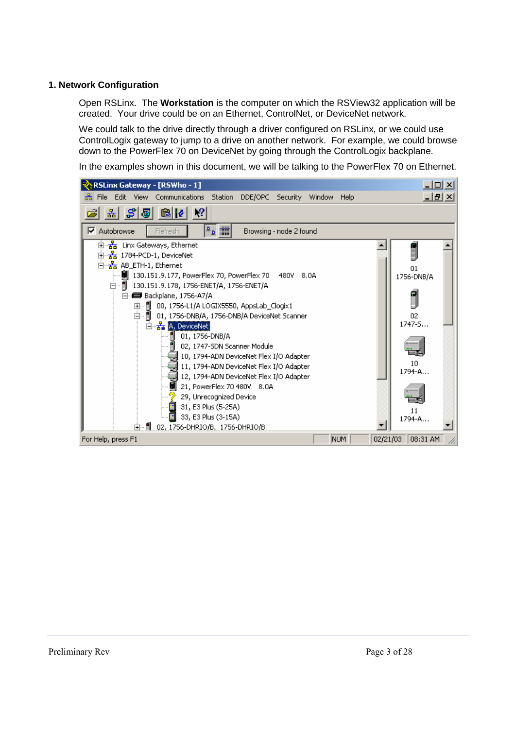#### **1. Network Configuration**

Open RSLinx. The **Workstation** is the computer on which the RSView32 application will be created. Your drive could be on an Ethernet, ControlNet, or DeviceNet network.

We could talk to the drive directly through a driver configured on RSLinx, or we could use ControlLogix gateway to jump to a drive on another network. For example, we could browse down to the PowerFlex 70 on DeviceNet by going through the ControlLogix backplane.

In the examples shown in this document, we will be talking to the PowerFlex 70 on Ethernet.

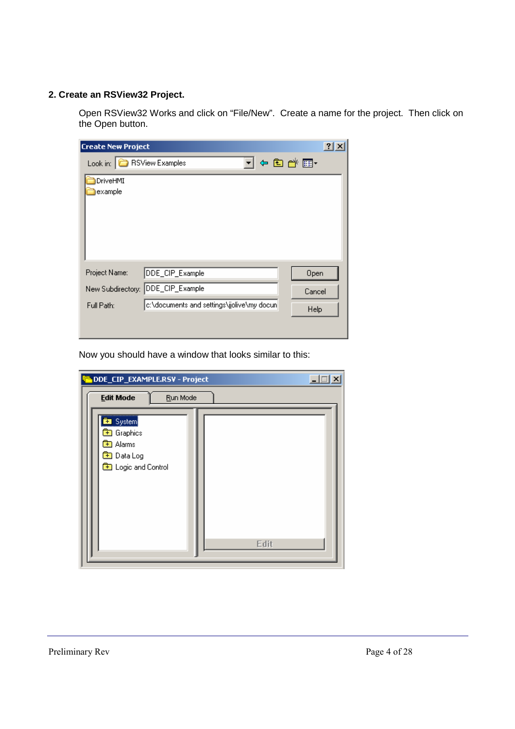# **2. Create an RSView32 Project.**

Open RSView32 Works and click on "File/New". Create a name for the project. Then click on the Open button.

| <b>Create New Project</b> |                                            |        | ? X |
|---------------------------|--------------------------------------------|--------|-----|
| Look in:                  | v + a d* i +<br><b>RSView Examples</b>     |        |     |
| DriveHMI                  |                                            |        |     |
| example                   |                                            |        |     |
| Project Name:             | DDE_CIP_Example                            | Open   |     |
|                           | New Subdirectory: DDE_CIP_Example          | Cancel |     |
| Full Path:                | c:\documents and settings\jjolive\my docun | Help   |     |
|                           |                                            |        |     |

Now you should have a window that looks similar to this:

| DDE_CIP_EXAMPLE.RSV - Project                                                                                           | – □□ × |
|-------------------------------------------------------------------------------------------------------------------------|--------|
| <b>Edit Mode</b><br>Run Mode                                                                                            |        |
| <br><b>Ex</b> System<br><b>B</b> Graphics<br><mark>主</mark> 】 Alarms<br><b>B</b> Data Log<br><b>B</b> Logic and Control | Edit   |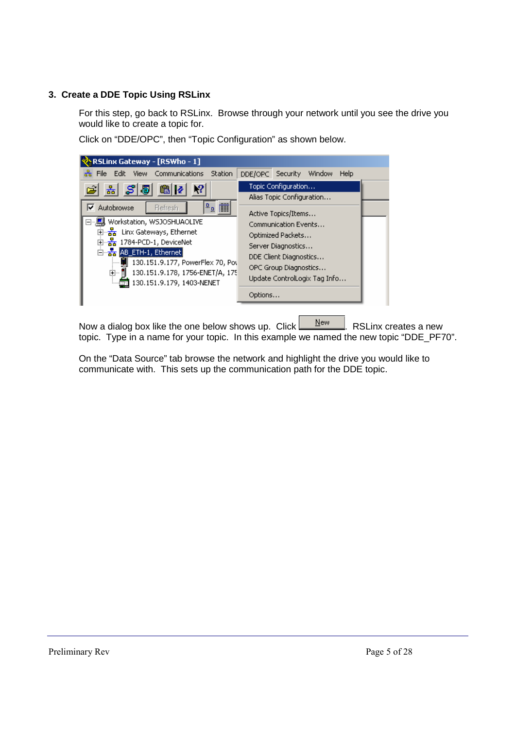# **3. Create a DDE Topic Using RSLinx**

For this step, go back to RSLinx. Browse through your network until you see the drive you would like to create a topic for.

| <b>WARSLinx Gateway - [RSWho - 1]</b>                                                                                                                                                                                                                   |                                                                                                                                                               |
|---------------------------------------------------------------------------------------------------------------------------------------------------------------------------------------------------------------------------------------------------------|---------------------------------------------------------------------------------------------------------------------------------------------------------------|
| File Edit<br>View Communications<br><b>Station</b>                                                                                                                                                                                                      | Security<br>Window<br>DDE/OPC<br>Help                                                                                                                         |
| 놂 5 5 8 6 12                                                                                                                                                                                                                                            | Topic Configuration<br>Alias Topic Configuration                                                                                                              |
| <u>(<sup>d.</sup> a</u>   )<br>Autobrowse<br>⊽<br>Refresh                                                                                                                                                                                               | Active Topics/Items                                                                                                                                           |
| Workstation, WSJOSHUAOLIVE<br>┈ᠼ<br>Linx Gateways, Ethernet<br>由-- <mark>器</mark> 1784-PCD-1, DeviceNet<br>□ <sub>aa</sub> AB_ETH-1, Ethernet<br>130.151.9.177, PowerFlex 70, Pod<br>130.151.9.178, 1756-ENET/A, 175<br>Ė⊡<br>130.151.9.179, 1403-NENET | Communication Events<br>Optimized Packets<br>Server Diagnostics<br>DDE Client Diagnostics<br>OPC Group Diagnostics<br>Update ControlLogix Tag Info<br>Options |

Click on "DDE/OPC", then "Topic Configuration" as shown below.

Now a dialog box like the one below shows up. Click  $\frac{\text{New}}{\text{New}}$  RSLinx creates a new topic. Type in a name for your topic. In this example we named the new topic "DDE\_PF70".

On the "Data Source" tab browse the network and highlight the drive you would like to communicate with. This sets up the communication path for the DDE topic.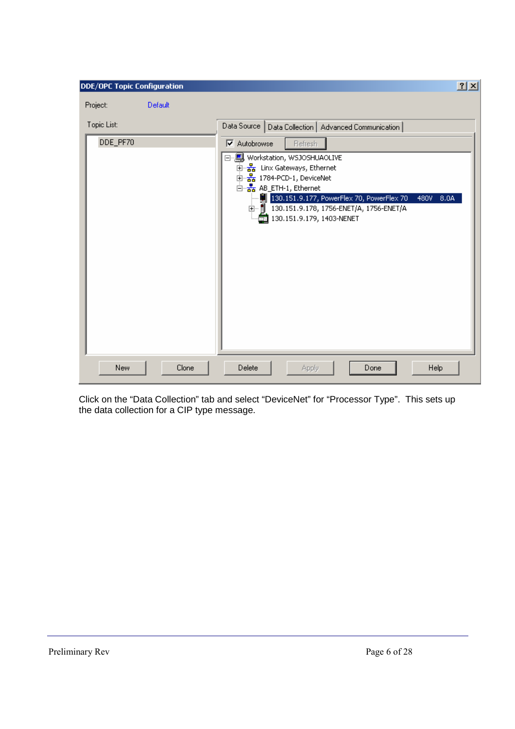| <b>DDE/OPC Topic Configuration</b> |                                                                                                                                                                                                                                                                                                                                    | 2X |
|------------------------------------|------------------------------------------------------------------------------------------------------------------------------------------------------------------------------------------------------------------------------------------------------------------------------------------------------------------------------------|----|
| Default<br>Project:                |                                                                                                                                                                                                                                                                                                                                    |    |
| Topic List:                        | Data Source   Data Collection   Advanced Communication                                                                                                                                                                                                                                                                             |    |
| DDE_PF70                           | $\nabla$ Autobrowse<br>Refresh<br>⊟… <mark>!!!</mark> Workstation, WSJOSHUAOLIVE<br>中 品 Linx Gateways, Ethernet<br>电器 1784-PCD-1, DeviceNet<br>습 RB_ETH-1, Ethernet<br>130.151.9.177, PowerFlex 70, PowerFlex 70<br>8.0A<br>480V<br>由… 門<br>130.151.9.178, 1756-ENET/A, 1756-ENET/A<br>130.151.9.179, 1403-NENET<br>$\overline{1}$ |    |
| New<br>Clone                       | Help<br>Delete<br>Apply<br>Done                                                                                                                                                                                                                                                                                                    |    |

Click on the "Data Collection" tab and select "DeviceNet" for "Processor Type". This sets up the data collection for a CIP type message.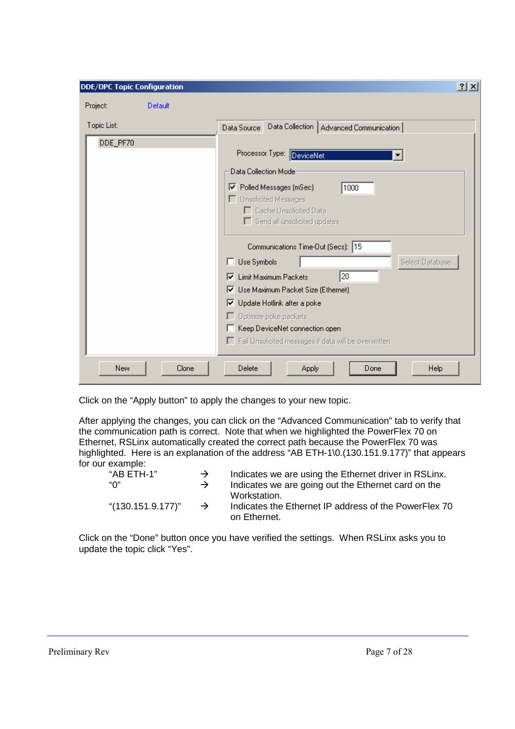| <b>DDE/OPC Topic Configuration</b> |                                                                                                                                                                                                                                                                                                                                                                                                                                                                                                         | 2 X |
|------------------------------------|---------------------------------------------------------------------------------------------------------------------------------------------------------------------------------------------------------------------------------------------------------------------------------------------------------------------------------------------------------------------------------------------------------------------------------------------------------------------------------------------------------|-----|
| Default<br>Project:                |                                                                                                                                                                                                                                                                                                                                                                                                                                                                                                         |     |
| Topic List:                        | Data Collection   Advanced Communication  <br>Data Source                                                                                                                                                                                                                                                                                                                                                                                                                                               |     |
| DDE_PF70                           | Processor Type: DeviceNet<br>Data Collection Mode<br>Ⅳ Polled Messages (mSec)<br>1000<br>□ Unsolicited Messages<br>□ Cache Unsolicited Data<br>Send all unsolicited updates<br>Communications Time-Out (Secs):  15<br>Select Database<br>$\Box$ Use Symbols<br>20<br><b>▽</b> Limit Maximum Packets<br>Ⅳ Use Maximum Packet Size (Ethernet)<br>Ⅳ Update Hotlink after a poke<br>$\Box$ Optimize poke packets<br>Keep DeviceNet connection open<br>Fail Unsolicited messages if data will be overwritten |     |
| <b>New</b><br>Clone                | Delete<br>Help<br>Apply<br>Done                                                                                                                                                                                                                                                                                                                                                                                                                                                                         |     |

Click on the "Apply button" to apply the changes to your new topic.

After applying the changes, you can click on the "Advanced Communication" tab to verify that the communication path is correct. Note that when we highlighted the PowerFlex 70 on Ethernet, RSLinx automatically created the correct path because the PowerFlex 70 was highlighted. Here is an explanation of the address "AB ETH-1\0.(130.151.9.177)" that appears for our example:

| "AB ETH-1"       | $\rightarrow$ | Indicates we are using the Ethernet driver in RSLinx.                 |
|------------------|---------------|-----------------------------------------------------------------------|
| "∩"              | $\rightarrow$ | Indicates we are going out the Ethernet card on the                   |
|                  |               | Workstation.                                                          |
| (130.151.9.177)" | $\rightarrow$ | Indicates the Ethernet IP address of the PowerFlex 70<br>on Ethernet. |

Click on the "Done" button once you have verified the settings. When RSLinx asks you to update the topic click "Yes".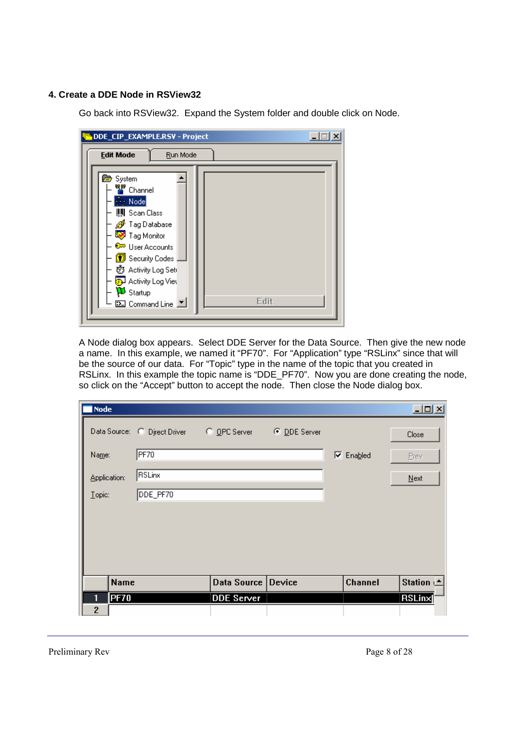#### **4. Create a DDE Node in RSView32**

Go back into RSView32. Expand the System folder and double click on Node.

| DDE_CIP_EXAMPLE.RSV - Project                                                                                                                                                                                                                                                                             |  |
|-----------------------------------------------------------------------------------------------------------------------------------------------------------------------------------------------------------------------------------------------------------------------------------------------------------|--|
| <b>Edit Mode</b><br>Run Mode                                                                                                                                                                                                                                                                              |  |
| <b><sup>2</sup></b> System<br><sup>ᄪ</sup> ゚゚ Channel<br><b>Mode</b><br>    Scan Class<br><mark>∯</mark> Tag Database<br>Tag Monitor<br><b><sup>€</sup></b> User Accounts<br><b>1</b> Security Codes<br>7 Activity Log Setr<br>6 Activity Log Viet<br><sup>13</sup> Startup<br>Edit<br>[∑] Command Line ∑ |  |

A Node dialog box appears. Select DDE Server for the Data Source. Then give the new node a name. In this example, we named it "PF70". For "Application" type "RSLinx" since that will be the source of our data. For "Topic" type in the name of the topic that you created in RSLinx. In this example the topic name is "DDE\_PF70". Now you are done creating the node, so click on the "Accept" button to accept the node. Then close the Node dialog box.

| Node         |                                                        |                    |                  | 그미지              |
|--------------|--------------------------------------------------------|--------------------|------------------|------------------|
|              | Data Source: C Direct Driver C OPC Server C DDE Server |                    |                  | Close            |
| Name:        | PF70                                                   |                    | $\nabla$ Enabled | Prev             |
| Application: | <b>RSLinx</b>                                          |                    |                  | Next             |
| Lopic:       | DDE_PF70                                               |                    |                  |                  |
|              |                                                        |                    |                  |                  |
|              |                                                        |                    |                  |                  |
|              |                                                        |                    |                  |                  |
|              |                                                        |                    |                  |                  |
| <b>Name</b>  |                                                        | Data Source Device | Channel          | Station <u>▲</u> |
| <b>PF70</b>  |                                                        | <b>DDE Server</b>  |                  | <b>RSLinx</b>    |
| 2            |                                                        |                    |                  |                  |

Preliminary Rev Page 8 of 28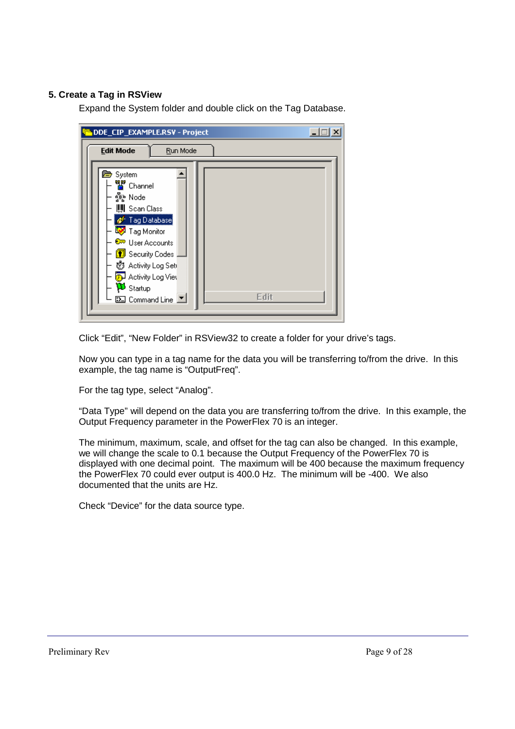# **5. Create a Tag in RSView**

Expand the System folder and double click on the Tag Database.



Click "Edit", "New Folder" in RSView32 to create a folder for your drive's tags.

Now you can type in a tag name for the data you will be transferring to/from the drive. In this example, the tag name is "OutputFreq".

For the tag type, select "Analog".

"Data Type" will depend on the data you are transferring to/from the drive. In this example, the Output Frequency parameter in the PowerFlex 70 is an integer.

The minimum, maximum, scale, and offset for the tag can also be changed. In this example, we will change the scale to 0.1 because the Output Frequency of the PowerFlex 70 is displayed with one decimal point. The maximum will be 400 because the maximum frequency the PowerFlex 70 could ever output is 400.0 Hz. The minimum will be -400. We also documented that the units are Hz.

Check "Device" for the data source type.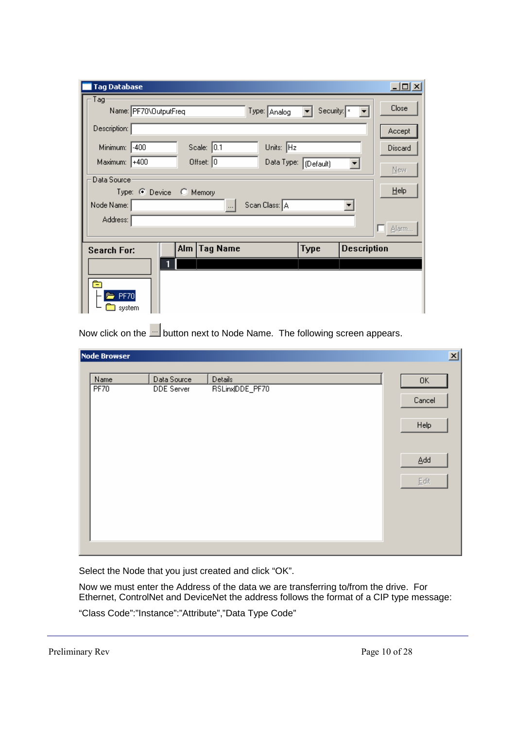| <b>Tag Database</b>                    |                        |               |                                | $\Box$ ol $\times$ |
|----------------------------------------|------------------------|---------------|--------------------------------|--------------------|
| Tag:<br>Name: PF70\OutputFreq          |                        | Type: Analog  | Security: $\sqrt{\frac{1}{2}}$ | Close              |
| Description:                           |                        |               |                                | Accept             |
| Minimum: -400                          | Scale: $\boxed{0.1}$   | Units: Hz     |                                | Discard            |
| Maximum: +400                          | Offset: 0              |               | Data Type: (Default)           | New                |
| Data Source<br>Type: C Device C Memory |                        |               |                                | Help               |
| Node Name:                             | $\ldots$               | Scan Class: A |                                |                    |
| Address:                               |                        |               |                                | <b>∆larm</b>       |
|                                        | <b>Tag Name</b><br>Alm |               | Type                           | <b>Description</b> |
| <b>Search For:</b>                     |                        |               |                                |                    |
|                                        |                        |               |                                |                    |
| $\equiv$                               |                        |               |                                |                    |
| <b>See</b> PF70                        |                        |               |                                |                    |
| system                                 |                        |               |                                |                    |

Now click on the **button next to Node Name.** The following screen appears.

| Node Browser |                   |                 | 즤                                             |
|--------------|-------------------|-----------------|-----------------------------------------------|
|              |                   |                 |                                               |
| Name         | Data Source       | Details         | OK.                                           |
| PF70         | <b>DDE</b> Server | RSLinx DDE_PF70 |                                               |
|              |                   |                 | Cancel                                        |
|              |                   |                 |                                               |
|              |                   |                 | Help                                          |
|              |                   |                 |                                               |
|              |                   |                 |                                               |
|              |                   |                 | Add                                           |
|              |                   |                 |                                               |
|              |                   |                 | $\underline{\mathsf{E}}\mathsf{d}\mathsf{it}$ |
|              |                   |                 |                                               |
|              |                   |                 |                                               |
|              |                   |                 |                                               |
|              |                   |                 |                                               |
|              |                   |                 |                                               |
|              |                   |                 |                                               |

Select the Node that you just created and click "OK".

Now we must enter the Address of the data we are transferring to/from the drive. For Ethernet, ControlNet and DeviceNet the address follows the format of a CIP type message:

"Class Code":"Instance":"Attribute","Data Type Code"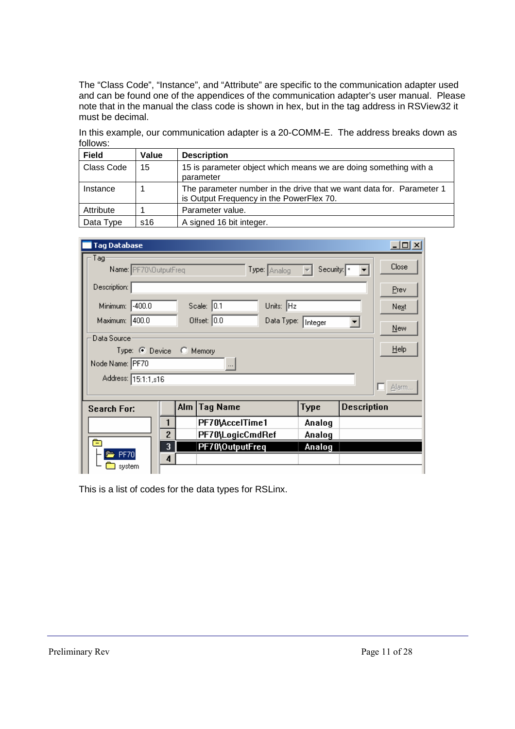The "Class Code", "Instance", and "Attribute" are specific to the communication adapter used and can be found one of the appendices of the communication adapter's user manual. Please note that in the manual the class code is shown in hex, but in the tag address in RSView32 it must be decimal.

In this example, our communication adapter is a 20-COMM-E. The address breaks down as follows:

| <b>Field</b> | Value | <b>Description</b>                                                                                               |
|--------------|-------|------------------------------------------------------------------------------------------------------------------|
| Class Code   | 15    | 15 is parameter object which means we are doing something with a<br>parameter                                    |
| Instance     |       | The parameter number in the drive that we want data for. Parameter 1<br>is Output Frequency in the PowerFlex 70. |
| Attribute    |       | Parameter value.                                                                                                 |
| Data Type    | s16   | A signed 16 bit integer.                                                                                         |

| Tag Database                 |                |     |                                               |                                | $\underline{\blacksquare} \boxtimes \underline{\blacksquare}$ |
|------------------------------|----------------|-----|-----------------------------------------------|--------------------------------|---------------------------------------------------------------|
| Tag<br>Name: PF70\OutputFreq |                |     | Type: $\boxed{\text{Analog}}$ $\rightarrow$   | Security: $\sqrt{\frac{x}{n}}$ | Close<br>$\overline{\mathbf{v}}$                              |
| Description:                 |                |     |                                               |                                | Prev                                                          |
| Minimum: -400.0              |                |     | Scale: $\boxed{0.1}$<br>Units: Hz             |                                | Next                                                          |
| Maximum: 400.0               |                |     | Offset: $\boxed{0.0}$<br>Data Type:   Integer |                                | New                                                           |
| Data Source                  |                |     |                                               |                                |                                                               |
| Type: C Device C Memory      |                |     |                                               |                                | $He$ lp                                                       |
| Node Name: PF70              |                |     | $\cdots$                                      |                                |                                                               |
| Address: 15:1:1, \$16        |                |     |                                               |                                |                                                               |
|                              |                |     |                                               |                                | Alarm                                                         |
| <b>Search For:</b>           |                | Alm | <b>Tag Name</b>                               | Type                           | <b>Description</b>                                            |
|                              | 1              |     | PF70\AccelTime1                               | Analog                         |                                                               |
|                              | $\overline{2}$ |     | PF70\LogicCmdRef                              | Analog                         |                                                               |
| ä.                           | 3              |     | PF70\OutputFreq                               | Analog                         |                                                               |
| <b>PF70</b>                  | Δ              |     |                                               |                                |                                                               |
| system                       |                |     |                                               |                                |                                                               |

This is a list of codes for the data types for RSLinx.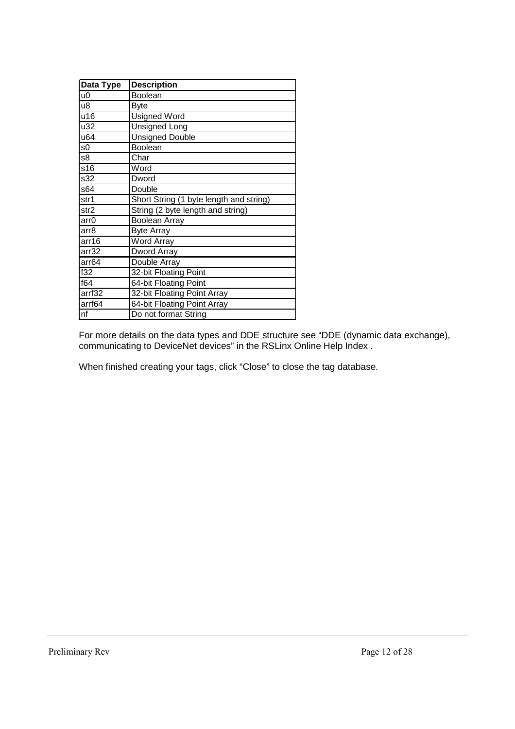| Data Type        | <b>Description</b>                      |
|------------------|-----------------------------------------|
| u0               | <b>Boolean</b>                          |
| u8               | <b>Byte</b>                             |
| u16              | <b>Usigned Word</b>                     |
| u32              | <b>Unsigned Long</b>                    |
| u64              | <b>Unsigned Double</b>                  |
| s0               | Boolean                                 |
| s8               | Char                                    |
| s16              | Word                                    |
| s32              | Dword                                   |
| s64              | Double                                  |
| str1             | Short String (1 byte length and string) |
| str <sub>2</sub> | String (2 byte length and string)       |
| arr <sub>0</sub> | Boolean Array                           |
| arr8             | <b>Byte Array</b>                       |
| arr16            | Word Array                              |
| arr32            | Dword Array                             |
| arr64            | Double Array                            |
| f32              | 32-bit Floating Point                   |
| f64              | 64-bit Floating Point                   |
| arrf32           | 32-bit Floating Point Array             |
| arrf64           | 64-bit Floating Point Array             |
| nf               | Do not format String                    |

For more details on the data types and DDE structure see "DDE (dynamic data exchange), communicating to DeviceNet devices" in the RSLinx Online Help Index .

When finished creating your tags, click "Close" to close the tag database.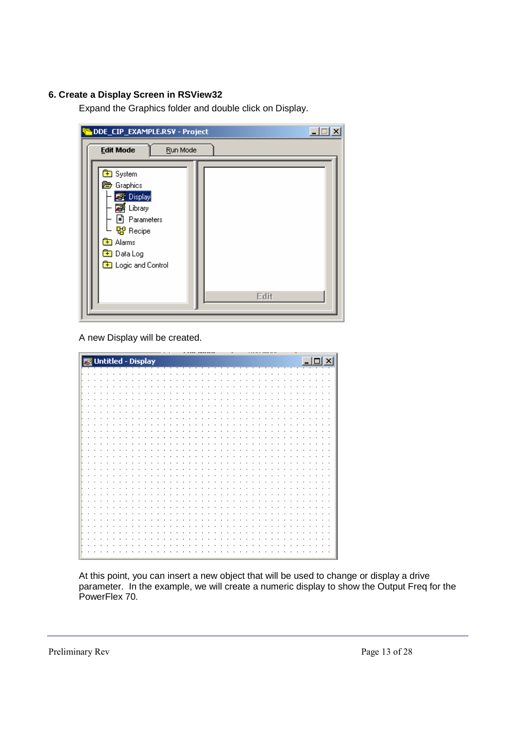# **6. Create a Display Screen in RSView32**

Expand the Graphics folder and double click on Display.



A new Display will be created.

|  |  |  |  |  | <b>To</b> Untitled - Display |  |  |  |  |  |  |  |  |  |  |  |  |  | $L = 2$ |  |
|--|--|--|--|--|------------------------------|--|--|--|--|--|--|--|--|--|--|--|--|--|---------|--|
|  |  |  |  |  |                              |  |  |  |  |  |  |  |  |  |  |  |  |  |         |  |
|  |  |  |  |  |                              |  |  |  |  |  |  |  |  |  |  |  |  |  |         |  |
|  |  |  |  |  |                              |  |  |  |  |  |  |  |  |  |  |  |  |  |         |  |
|  |  |  |  |  |                              |  |  |  |  |  |  |  |  |  |  |  |  |  |         |  |
|  |  |  |  |  |                              |  |  |  |  |  |  |  |  |  |  |  |  |  |         |  |
|  |  |  |  |  |                              |  |  |  |  |  |  |  |  |  |  |  |  |  |         |  |
|  |  |  |  |  |                              |  |  |  |  |  |  |  |  |  |  |  |  |  |         |  |
|  |  |  |  |  |                              |  |  |  |  |  |  |  |  |  |  |  |  |  |         |  |
|  |  |  |  |  |                              |  |  |  |  |  |  |  |  |  |  |  |  |  |         |  |
|  |  |  |  |  |                              |  |  |  |  |  |  |  |  |  |  |  |  |  |         |  |
|  |  |  |  |  |                              |  |  |  |  |  |  |  |  |  |  |  |  |  |         |  |
|  |  |  |  |  |                              |  |  |  |  |  |  |  |  |  |  |  |  |  |         |  |
|  |  |  |  |  |                              |  |  |  |  |  |  |  |  |  |  |  |  |  |         |  |
|  |  |  |  |  |                              |  |  |  |  |  |  |  |  |  |  |  |  |  |         |  |
|  |  |  |  |  |                              |  |  |  |  |  |  |  |  |  |  |  |  |  |         |  |
|  |  |  |  |  |                              |  |  |  |  |  |  |  |  |  |  |  |  |  |         |  |
|  |  |  |  |  |                              |  |  |  |  |  |  |  |  |  |  |  |  |  |         |  |
|  |  |  |  |  |                              |  |  |  |  |  |  |  |  |  |  |  |  |  |         |  |
|  |  |  |  |  |                              |  |  |  |  |  |  |  |  |  |  |  |  |  |         |  |
|  |  |  |  |  |                              |  |  |  |  |  |  |  |  |  |  |  |  |  |         |  |
|  |  |  |  |  |                              |  |  |  |  |  |  |  |  |  |  |  |  |  |         |  |
|  |  |  |  |  |                              |  |  |  |  |  |  |  |  |  |  |  |  |  |         |  |
|  |  |  |  |  |                              |  |  |  |  |  |  |  |  |  |  |  |  |  |         |  |
|  |  |  |  |  |                              |  |  |  |  |  |  |  |  |  |  |  |  |  |         |  |
|  |  |  |  |  |                              |  |  |  |  |  |  |  |  |  |  |  |  |  |         |  |
|  |  |  |  |  |                              |  |  |  |  |  |  |  |  |  |  |  |  |  |         |  |
|  |  |  |  |  |                              |  |  |  |  |  |  |  |  |  |  |  |  |  |         |  |
|  |  |  |  |  |                              |  |  |  |  |  |  |  |  |  |  |  |  |  |         |  |
|  |  |  |  |  |                              |  |  |  |  |  |  |  |  |  |  |  |  |  |         |  |
|  |  |  |  |  |                              |  |  |  |  |  |  |  |  |  |  |  |  |  |         |  |
|  |  |  |  |  |                              |  |  |  |  |  |  |  |  |  |  |  |  |  |         |  |
|  |  |  |  |  |                              |  |  |  |  |  |  |  |  |  |  |  |  |  |         |  |
|  |  |  |  |  |                              |  |  |  |  |  |  |  |  |  |  |  |  |  |         |  |

At this point, you can insert a new object that will be used to change or display a drive parameter. In the example, we will create a numeric display to show the Output Freq for the PowerFlex 70.

Preliminary Rev Page 13 of 28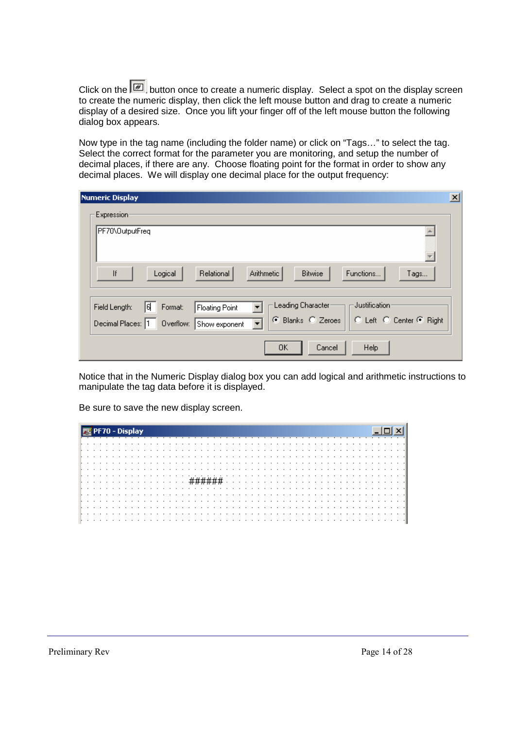Click on the  $\boxed{\mathscr{F}}$  button once to create a numeric display. Select a spot on the display screen to create the numeric display, then click the left mouse button and drag to create a numeric display of a desired size. Once you lift your finger off of the left mouse button the following dialog box appears.

Now type in the tag name (including the folder name) or click on "Tags…" to select the tag. Select the correct format for the parameter you are monitoring, and setup the number of decimal places, if there are any. Choose floating point for the format in order to show any decimal places. We will display one decimal place for the output frequency:

| $\mathbf{x}$<br>Numeric Display                                                                                             |
|-----------------------------------------------------------------------------------------------------------------------------|
| Expression:                                                                                                                 |
| PF70\0utputFreq                                                                                                             |
| Relational<br>Functions<br><b>Bitwise</b><br>Logical<br>If<br><b>Arithmetic</b><br>Tags                                     |
| Leading Character-<br>·Justification·<br>lel.<br>Field Length:<br>Format:<br>Floating Point                                 |
| ● Blanks © Zeroes<br>C Left C Center C Right<br>Overflow:<br>Decimal Places: 1<br>$\overline{\phantom{a}}$<br>Show exponent |
| Help<br>0K<br>Cancel                                                                                                        |

Notice that in the Numeric Display dialog box you can add logical and arithmetic instructions to manipulate the tag data before it is displayed.

Be sure to save the new display screen.

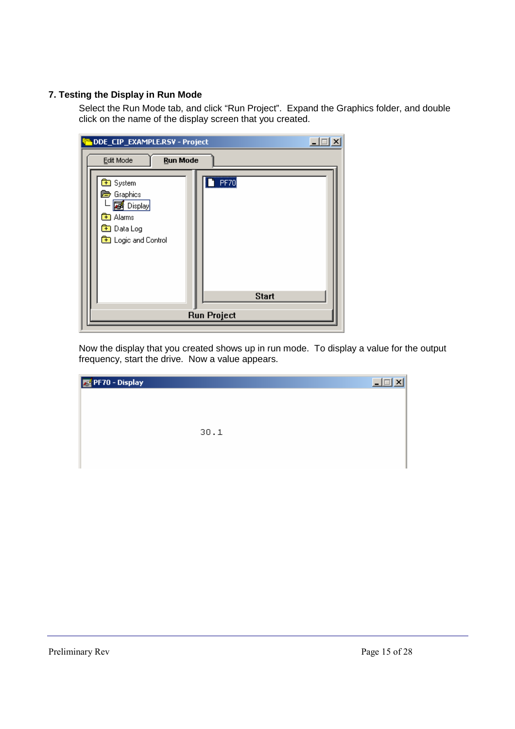# **7. Testing the Display in Run Mode**

Select the Run Mode tab, and click "Run Project". Expand the Graphics folder, and double click on the name of the display screen that you created.

| DDE_CIP_EXAMPLE.RSV - Project                                                                                                                           | ×                           |
|---------------------------------------------------------------------------------------------------------------------------------------------------------|-----------------------------|
| Edit Mode<br><b>Run Mode</b><br><mark>⊞</mark> System<br>Graphics<br>r an<br>Display<br>Alarms<br>83<br><b>B</b> Data Log<br><b>B</b> Logic and Control | <b>PF70</b><br><b>Start</b> |
|                                                                                                                                                         | <b>Run Project</b>          |

Now the display that you created shows up in run mode. To display a value for the output frequency, start the drive. Now a value appears.

| $\boxed{E}$ PF70 - Display |      | $\Box$ el |
|----------------------------|------|-----------|
|                            |      |           |
|                            |      |           |
|                            | 30.1 |           |
|                            |      |           |
|                            |      |           |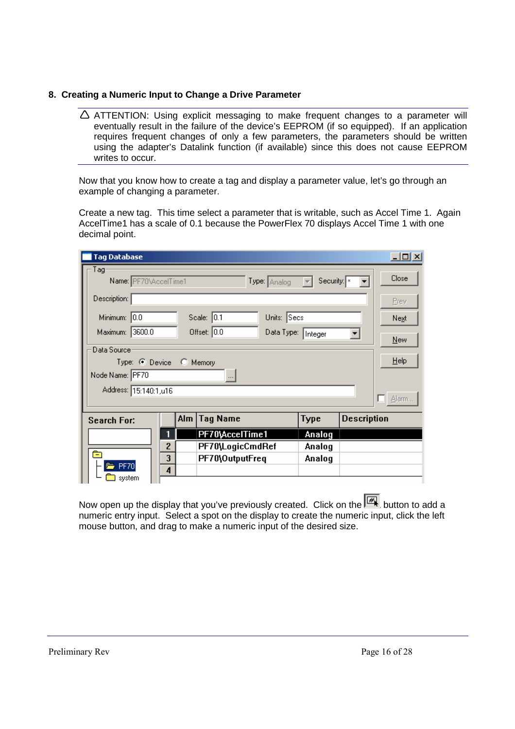#### **8. Creating a Numeric Input to Change a Drive Parameter**

 $\triangle$  ATTENTION: Using explicit messaging to make frequent changes to a parameter will eventually result in the failure of the device's EEPROM (if so equipped). If an application requires frequent changes of only a few parameters, the parameters should be written using the adapter's Datalink function (if available) since this does not cause EEPROM writes to occur.

Now that you know how to create a tag and display a parameter value, let's go through an example of changing a parameter.

Create a new tag. This time select a parameter that is writable, such as Accel Time 1. Again AccelTime1 has a scale of 0.1 because the PowerFlex 70 displays Accel Time 1 with one decimal point.

| <b>Tag Database</b>                    |                |                       |                                                                                |        |                                         | $-10x$ |
|----------------------------------------|----------------|-----------------------|--------------------------------------------------------------------------------|--------|-----------------------------------------|--------|
| Tag:<br>Name: PF70\AccelTime1          |                |                       | Type: $\left \right. \triangle_{\text{halog}}$ $\left \right.$ $\left \right.$ |        | Security: $\boxed{\ast}$ $\boxed{\ast}$ | Close  |
| Description:                           |                |                       |                                                                                |        |                                         | Prev   |
| Minimum: 0.0                           |                | Scale: $ 0.1$         | Units: Secs                                                                    |        |                                         | Next   |
| Maximum: 3600.0                        |                | Offset: $\boxed{0.0}$ | Data Type: Integer                                                             |        |                                         | New    |
| Data Source<br>Type: C Device C Memory |                |                       |                                                                                |        |                                         | Help   |
| Node Name: PF70                        |                | $\cdots$              |                                                                                |        |                                         |        |
| Address: 15:140:1,u16                  |                |                       |                                                                                |        |                                         | Alarm  |
| <b>Search For:</b>                     |                | Alm Tag Name          |                                                                                | Type   | <b>Description</b>                      |        |
|                                        |                | PF70\AccelTime1       |                                                                                | Analog |                                         |        |
| ÷                                      | $\overline{c}$ | PF70\LogicCmdRef      |                                                                                | Analog |                                         |        |
| <b>PF70</b>                            | 3              | PF70\OutputFreq       |                                                                                | Analog |                                         |        |
| system                                 | 4              |                       |                                                                                |        |                                         |        |

Now open up the display that you've previously created. Click on the  $\mathbb{R}$  button to add a numeric entry input. Select a spot on the display to create the numeric input, click the left mouse button, and drag to make a numeric input of the desired size.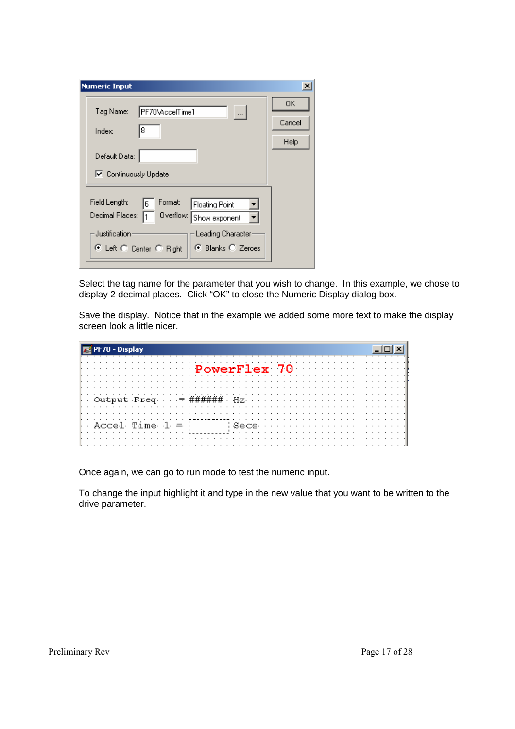| <b>Numeric Input</b>                                                                                    | ×                    |
|---------------------------------------------------------------------------------------------------------|----------------------|
| PF70\AccelTime1<br>Tag Name:<br>$\cdots$<br>18<br>Index:                                                | OΚ<br>Cancel<br>Help |
| Default Data:<br><b>▽</b> Continuously Update                                                           |                      |
| Field Length:<br>Format:<br>6<br><b>Floating Point</b><br>Decimal Places:<br>Overflow:<br>Show exponent |                      |
| Justification<br>Leading Character<br>⊙ Blanks ○ Zeroes<br>C Left C Center C Right                      |                      |

Select the tag name for the parameter that you wish to change. In this example, we chose to display 2 decimal places. Click "OK" to close the Numeric Display dialog box.

Save the display. Notice that in the example we added some more text to make the display screen look a little nicer.

|  | PF70 - Display               |  |  |  |  |  |  |  |  |  |  |  |  |                                                                                       |  |  |              |  |  |  |  |  |  |  |  |  |
|--|------------------------------|--|--|--|--|--|--|--|--|--|--|--|--|---------------------------------------------------------------------------------------|--|--|--------------|--|--|--|--|--|--|--|--|--|
|  |                              |  |  |  |  |  |  |  |  |  |  |  |  |                                                                                       |  |  |              |  |  |  |  |  |  |  |  |  |
|  |                              |  |  |  |  |  |  |  |  |  |  |  |  |                                                                                       |  |  | PowerFlex 70 |  |  |  |  |  |  |  |  |  |
|  |                              |  |  |  |  |  |  |  |  |  |  |  |  |                                                                                       |  |  |              |  |  |  |  |  |  |  |  |  |
|  |                              |  |  |  |  |  |  |  |  |  |  |  |  |                                                                                       |  |  |              |  |  |  |  |  |  |  |  |  |
|  |                              |  |  |  |  |  |  |  |  |  |  |  |  |                                                                                       |  |  |              |  |  |  |  |  |  |  |  |  |
|  |                              |  |  |  |  |  |  |  |  |  |  |  |  | $\begin{array}{cccccccccccccccccc} . & . & . & . & . & . & . & . & . & . \end{array}$ |  |  |              |  |  |  |  |  |  |  |  |  |
|  | $ \cdot $ Output Freq. .     |  |  |  |  |  |  |  |  |  |  |  |  | - - = ####### - Hz- - - -                                                             |  |  |              |  |  |  |  |  |  |  |  |  |
|  |                              |  |  |  |  |  |  |  |  |  |  |  |  |                                                                                       |  |  |              |  |  |  |  |  |  |  |  |  |
|  |                              |  |  |  |  |  |  |  |  |  |  |  |  |                                                                                       |  |  |              |  |  |  |  |  |  |  |  |  |
|  |                              |  |  |  |  |  |  |  |  |  |  |  |  |                                                                                       |  |  |              |  |  |  |  |  |  |  |  |  |
|  | $\sim$ Accel Time $1 =$ Secs |  |  |  |  |  |  |  |  |  |  |  |  |                                                                                       |  |  |              |  |  |  |  |  |  |  |  |  |
|  |                              |  |  |  |  |  |  |  |  |  |  |  |  |                                                                                       |  |  |              |  |  |  |  |  |  |  |  |  |
|  |                              |  |  |  |  |  |  |  |  |  |  |  |  |                                                                                       |  |  |              |  |  |  |  |  |  |  |  |  |

Once again, we can go to run mode to test the numeric input.

To change the input highlight it and type in the new value that you want to be written to the drive parameter.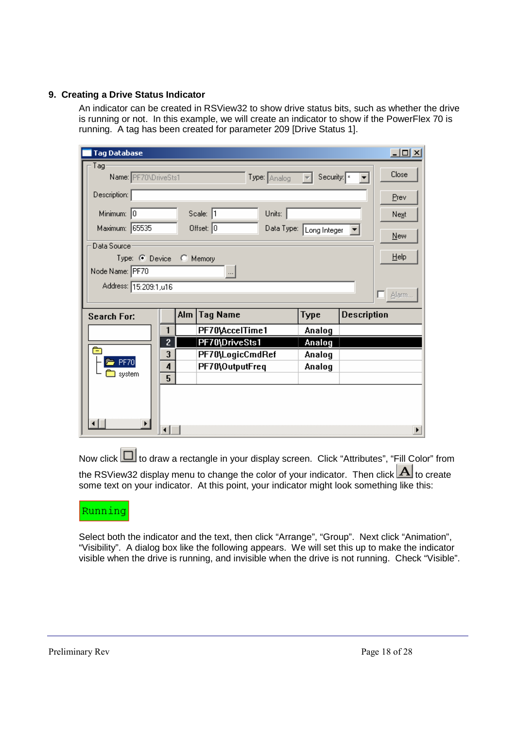#### **9. Creating a Drive Status Indicator**

An indicator can be created in RSView32 to show drive status bits, such as whether the drive is running or not. In this example, we will create an indicator to show if the PowerFlex 70 is running. A tag has been created for parameter 209 [Drive Status 1].

| <b>Tag Database</b>          |   |     |                                        |                                |             | $\Box$ o $\Box$ |
|------------------------------|---|-----|----------------------------------------|--------------------------------|-------------|-----------------|
| Tagi<br>Name: PF70\DriveSts1 |   |     | Type: $A_{\text{nalog}}$ $\rightarrow$ | Security: $\sqrt{\frac{x}{x}}$ |             | Close           |
| Description:                 |   |     |                                        |                                |             | Prev            |
| Minimum: 0                   |   |     | Scale: 1<br>Units:                     |                                |             | Next            |
| Maximum: 65535               |   |     | Offset: $\boxed{0}$                    | Data Type: Long Integer        |             | New             |
| Data Source                  |   |     |                                        |                                |             |                 |
| Type: C Device C Memory      |   |     |                                        |                                |             | Help            |
| Node Name: PF70              |   |     | $\cdots$                               |                                |             |                 |
| Address: 15:209:1,u16        |   |     |                                        |                                |             |                 |
|                              |   |     |                                        |                                |             | Alarm.          |
| <b>Search For:</b>           |   | Alm | <b>Tag Name</b>                        | <b>Type</b>                    | Description |                 |
|                              | 1 |     | PF70\AccelTime1                        | Analog                         |             |                 |
|                              | 2 |     | PF70\DriveSts1                         | Analog                         |             |                 |
| è                            | 3 |     | PF70\LogicCmdRef                       | Analog                         |             |                 |
| <b>PF70</b>                  | 4 |     | PF70\OutputFreq                        | Analog                         |             |                 |
| system                       | 5 |     |                                        |                                |             |                 |
|                              |   |     |                                        |                                |             |                 |
|                              |   |     |                                        |                                |             |                 |
|                              |   |     |                                        |                                |             |                 |
|                              |   |     |                                        |                                |             |                 |

Now click  $\Box$  to draw a rectangle in your display screen. Click "Attributes", "Fill Color" from the RSView32 display menu to change the color of your indicator. Then click  $\boxed{\mathbf{A}}$  to create some text on your indicator. At this point, your indicator might look something like this:



Select both the indicator and the text, then click "Arrange", "Group". Next click "Animation", "Visibility". A dialog box like the following appears. We will set this up to make the indicator visible when the drive is running, and invisible when the drive is not running. Check "Visible".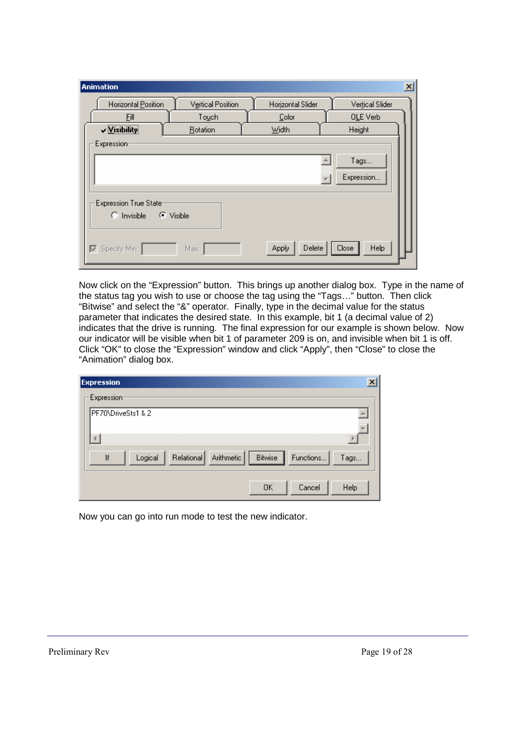| <b>Animation</b>                                                    |                   |                   | $\mathbf{x}$       |
|---------------------------------------------------------------------|-------------------|-------------------|--------------------|
| Horizontal Position                                                 | Vertical Position | Horizontal Slider | Vertical Slider    |
| <b>Fill</b>                                                         | Touch             | Color             | OLE Verb           |
| $\sqrt{\text{V}}$ isibility                                         | <b>Rotation</b>   | Width             | Height             |
| Expression<br><b>Expression True State</b><br>C Invisible C Visible |                   |                   | Tags<br>Expression |
| $\nabla$ Specify Min:                                               | Max:              | Apply<br>Delete   | Close<br>Help      |

Now click on the "Expression" button. This brings up another dialog box. Type in the name of the status tag you wish to use or choose the tag using the "Tags…" button. Then click "Bitwise" and select the "&" operator. Finally, type in the decimal value for the status parameter that indicates the desired state. In this example, bit 1 (a decimal value of 2) indicates that the drive is running. The final expression for our example is shown below. Now our indicator will be visible when bit 1 of parameter 209 is on, and invisible when bit 1 is off. Click "OK" to close the "Expression" window and click "Apply", then "Close" to close the "Animation" dialog box.

| <b>Expression</b>                                                         |
|---------------------------------------------------------------------------|
| Expression:                                                               |
| PF70\DriveSts1 & 2<br>-                                                   |
| Functions<br>Relational<br>Arithmetic<br>Bitwise<br>Logical<br>If<br>Tags |
| <b>OK</b><br>Cancel<br>Help                                               |

Now you can go into run mode to test the new indicator.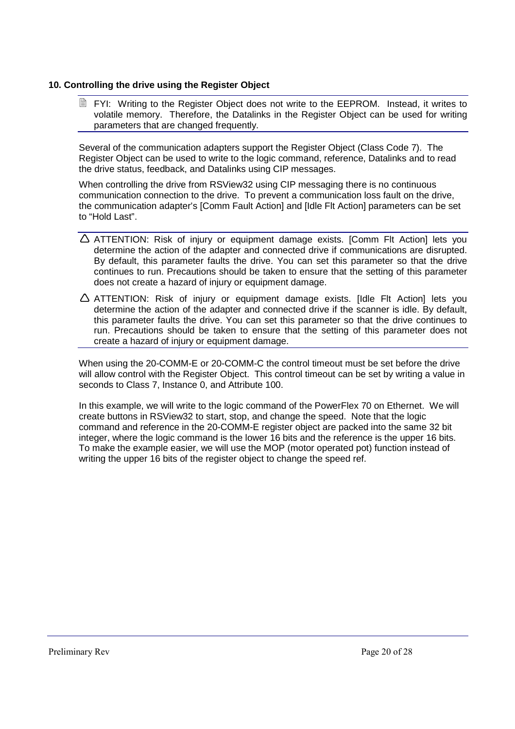# **10. Controlling the drive using the Register Object**

**■ FYI: Writing to the Register Object does not write to the EEPROM. Instead, it writes to** volatile memory. Therefore, the Datalinks in the Register Object can be used for writing parameters that are changed frequently.

Several of the communication adapters support the Register Object (Class Code 7). The Register Object can be used to write to the logic command, reference, Datalinks and to read the drive status, feedback, and Datalinks using CIP messages.

When controlling the drive from RSView32 using CIP messaging there is no continuous communication connection to the drive. To prevent a communication loss fault on the drive, the communication adapter's [Comm Fault Action] and [Idle Flt Action] parameters can be set to "Hold Last".

- $\triangle$  ATTENTION: Risk of injury or equipment damage exists. [Comm FIt Action] lets you determine the action of the adapter and connected drive if communications are disrupted. By default, this parameter faults the drive. You can set this parameter so that the drive continues to run. Precautions should be taken to ensure that the setting of this parameter does not create a hazard of injury or equipment damage.
- $\triangle$  ATTENTION: Risk of injury or equipment damage exists. [Idle Flt Action] lets you determine the action of the adapter and connected drive if the scanner is idle. By default, this parameter faults the drive. You can set this parameter so that the drive continues to run. Precautions should be taken to ensure that the setting of this parameter does not create a hazard of injury or equipment damage.

When using the 20-COMM-E or 20-COMM-C the control timeout must be set before the drive will allow control with the Register Object. This control timeout can be set by writing a value in seconds to Class 7, Instance 0, and Attribute 100.

In this example, we will write to the logic command of the PowerFlex 70 on Ethernet. We will create buttons in RSView32 to start, stop, and change the speed. Note that the logic command and reference in the 20-COMM-E register object are packed into the same 32 bit integer, where the logic command is the lower 16 bits and the reference is the upper 16 bits. To make the example easier, we will use the MOP (motor operated pot) function instead of writing the upper 16 bits of the register object to change the speed ref.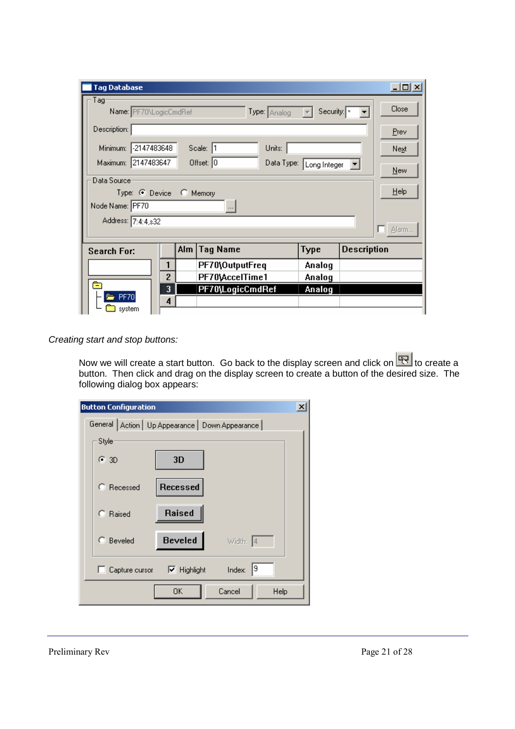| <b>Tag Database</b>                                                                            |                                                     |                        |                  |                         |                    | $\Box$ l $\Box$ |
|------------------------------------------------------------------------------------------------|-----------------------------------------------------|------------------------|------------------|-------------------------|--------------------|-----------------|
| Tag:<br>Close<br>Name: PF70\LogicCmdRef<br>Security: x<br>Type: Analog<br>$\vert \nabla \vert$ |                                                     |                        |                  |                         |                    |                 |
| Description:                                                                                   |                                                     |                        |                  |                         | Prev               |                 |
|                                                                                                | Minimum: - 2147483648<br>Scale: 1<br>Units:<br>Next |                        |                  |                         |                    |                 |
| Maximum: 2147483647                                                                            |                                                     | Offset: 0              |                  | Data Type: Long Integer | New                |                 |
| Data Source<br>Help<br>Type: C Device C Memory                                                 |                                                     |                        |                  |                         |                    |                 |
| Node Name: PF70<br>$\cdots$                                                                    |                                                     |                        |                  |                         |                    |                 |
| Address: 7:4:4, s32<br>Alarm                                                                   |                                                     |                        |                  |                         |                    |                 |
| <b>Search For:</b>                                                                             |                                                     | Alm<br><b>Tag Name</b> |                  | Type                    | <b>Description</b> |                 |
|                                                                                                |                                                     | PF70\OutputFreq        |                  | Analog                  |                    |                 |
|                                                                                                | $\overline{2}$                                      | PF70\AccelTime1        |                  | Analog                  |                    |                 |
| <b>PF70</b>                                                                                    | 3                                                   |                        | PF70\LogicCmdRef | Analog                  |                    |                 |
| system                                                                                         |                                                     |                        |                  |                         |                    |                 |

Creating start and stop buttons:

Now we will create a start button. Go back to the display screen and click on  $\mathbb{R}$ . to create a button. Then click and drag on the display screen to create a button of the desired size. The following dialog box appears:

| <b>Button Configuration</b>                        |                                         |                | $\vert x \vert$ |
|----------------------------------------------------|-----------------------------------------|----------------|-----------------|
| General   Action   Up Appearance   Down Appearance |                                         |                |                 |
| Style                                              |                                         |                |                 |
| $G$ 3D                                             | 3D                                      |                |                 |
| C Recessed                                         | Recessed                                |                |                 |
| C Raised                                           | Raised                                  |                |                 |
| C Beveled                                          | <b>Beveled</b>                          | Width: 4       |                 |
|                                                    | Capture cursor $\quad \nabla$ Highlight | 19<br>Index:   |                 |
|                                                    | 0K                                      | Cancel<br>Help |                 |

Preliminary Rev Page 21 of 28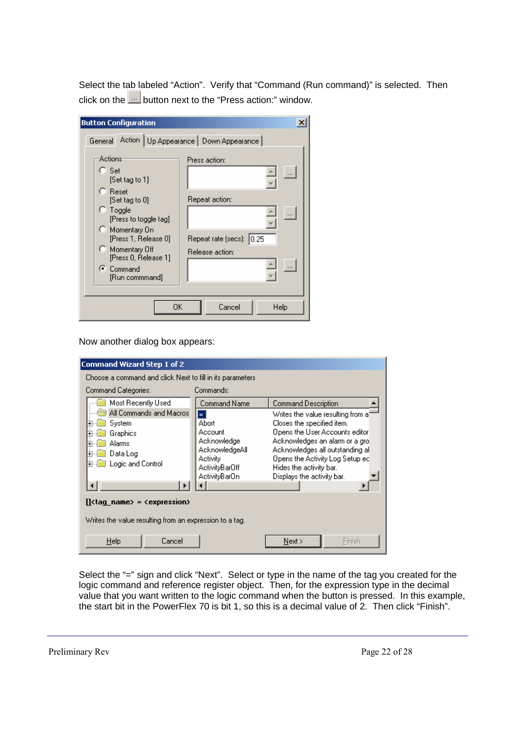Select the tab labeled "Action". Verify that "Command (Run command)" is selected. Then click on the **button next to the "Press action:**" window.

| <b>Button Configuration</b>                                                                                                                                                                                                                                                                               | $\times$                                                                                                   |
|-----------------------------------------------------------------------------------------------------------------------------------------------------------------------------------------------------------------------------------------------------------------------------------------------------------|------------------------------------------------------------------------------------------------------------|
| General Action   Up Appearance   Down Appearance  <br>Actions:<br>$\bigcap$ Set<br>[Set tag to 1]<br><b>C</b> Reset<br>[Set tag to 0]<br>$\heartsuit$ Toggle<br>[Press to toggle tag]<br>C Momentary On<br>[Press 1, Release 0]<br>C Momentary Off<br>[Press 0, Release 1]<br>C Command<br>[Run commmand] | Press action:<br><br>Repeat action:<br>$\cdots$<br>Repeat rate (secs): 0.25<br>Release action:<br>$\cdots$ |
| OΚ                                                                                                                                                                                                                                                                                                        | Cancel<br>Help                                                                                             |

Now another dialog box appears:

| <b>Command Wizard Step 1 of 2</b>                                                                                                                                                                                                                                                                              |                                                                                                                       |                                                                                                                                                                                                                                                                                             |
|----------------------------------------------------------------------------------------------------------------------------------------------------------------------------------------------------------------------------------------------------------------------------------------------------------------|-----------------------------------------------------------------------------------------------------------------------|---------------------------------------------------------------------------------------------------------------------------------------------------------------------------------------------------------------------------------------------------------------------------------------------|
| Choose a command and click Next to fill in its parameters.                                                                                                                                                                                                                                                     |                                                                                                                       |                                                                                                                                                                                                                                                                                             |
| Command Categories:                                                                                                                                                                                                                                                                                            | Commands:                                                                                                             |                                                                                                                                                                                                                                                                                             |
| Most Recently Used<br>All Commands and Macros<br>System<br>$\overline{\phantom{a}^+}$<br>Graphics<br>$\overline{+}$<br>Alarms<br>$\overline{+}$<br>Data Log<br>$\overline{+}$<br>Logic and Control<br>$\overline{+}$<br>$\left[ \left\{ \text{tag name} \right\} \right] = \left\{ \text{expression} \right\}$ | Command Name<br>E<br>Abort<br>Account<br>Acknowledge<br>AcknowledgeAll<br>Activity<br>ActivityBar0ff<br>ActivityBar0n | Command Description<br>Writes the value resulting from al<br>Closes the specified item.<br>Opens the User Accounts editor<br>Acknowledges an alarm or a gro<br>Acknowledges all outstanding all<br>Opens the Activity Log Setup ed<br>Hides the activity bar.<br>Displays the activity bar. |
| Writes the value resulting from an expression to a tag.                                                                                                                                                                                                                                                        |                                                                                                                       |                                                                                                                                                                                                                                                                                             |
| Cancel<br>Help                                                                                                                                                                                                                                                                                                 |                                                                                                                       | Next ><br>Finish                                                                                                                                                                                                                                                                            |

Select the "=" sign and click "Next". Select or type in the name of the tag you created for the logic command and reference register object. Then, for the expression type in the decimal value that you want written to the logic command when the button is pressed. In this example, the start bit in the PowerFlex 70 is bit 1, so this is a decimal value of 2. Then click "Finish".

Preliminary Rev Page 22 of 28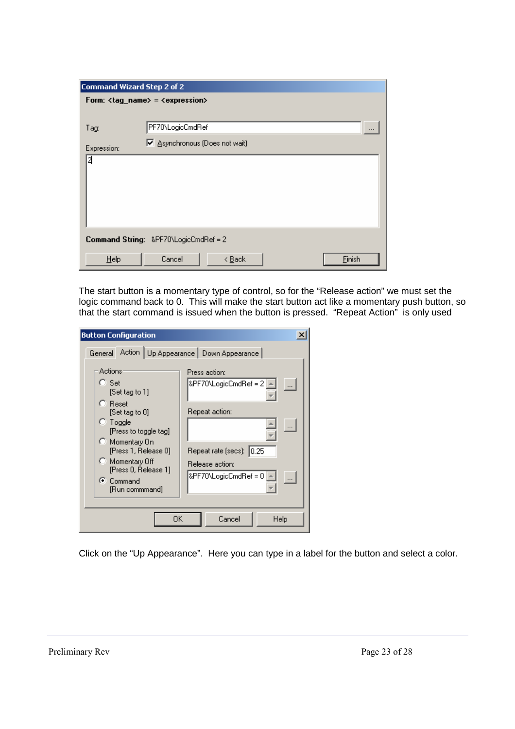| Command Wizard Step 2 of 2 |                                                                             |  |
|----------------------------|-----------------------------------------------------------------------------|--|
|                            | Form: $\langle \text{tag_name} \rangle = \langle \text{expression} \rangle$ |  |
|                            |                                                                             |  |
| Tag:                       | PF70\LogicCmdRef<br>$\cdots$                                                |  |
| Expression:                | ☑ Asynchronous (Does not wait)                                              |  |
| 2                          |                                                                             |  |
|                            |                                                                             |  |
|                            |                                                                             |  |
|                            |                                                                             |  |
|                            |                                                                             |  |
|                            | Command String: &PF70\LogicCmdRef = 2                                       |  |
| $He$ lp                    | Cancel<br>Einish<br>$\leq$ $\underline{B}$ ack                              |  |

The start button is a momentary type of control, so for the "Release action" we must set the logic command back to 0. This will make the start button act like a momentary push button, so that the start command is issued when the button is pressed. "Repeat Action" is only used

| <b>Button Configuration</b>                                                                                                                                                                                                               |                                                                                                                                                      |
|-------------------------------------------------------------------------------------------------------------------------------------------------------------------------------------------------------------------------------------------|------------------------------------------------------------------------------------------------------------------------------------------------------|
| General                                                                                                                                                                                                                                   | Action   Up Appearance   Down Appearance                                                                                                             |
| Actions<br>$C$ Set<br>[Set tag to 1]<br><b>C</b> Reset<br>[Set tag to 0]<br>$\degree$ Toggle<br>[Press to toggle tag]<br>C Momentary On<br>[Press 1, Release 0]<br>C Momentary Off<br>[Press 0, Release 1]<br>C Command<br>[Run commmand] | Press action:<br>&PF70\LogicCmdRef = 2<br><br>Repeat action:<br>$\cdots$<br>Repeat rate (secs):   0.25<br>Release action:<br>&PF70\LogicCmdRef = 0 4 |
| OΚ                                                                                                                                                                                                                                        | Cancel<br>Help                                                                                                                                       |

Click on the "Up Appearance". Here you can type in a label for the button and select a color.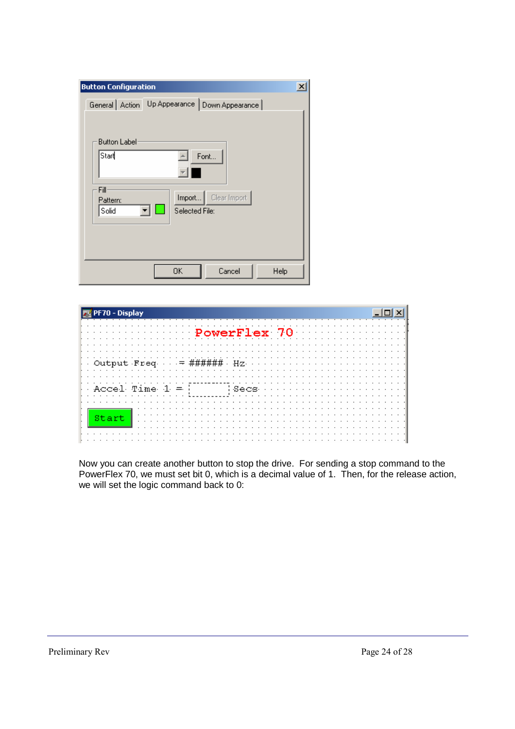| <b>Button Configuration</b>                                  | $\mathbf{x}$ |
|--------------------------------------------------------------|--------------|
| General   Action   Up Appearance   Down Appearance           |              |
|                                                              |              |
| <b>Button Label</b>                                          |              |
| Start<br>Font                                                |              |
|                                                              |              |
| Fill                                                         |              |
| Import   Clear Import<br>Pattern:<br>Solid<br>Selected File: |              |
|                                                              |              |
|                                                              |              |
|                                                              |              |
| Cancel<br>OΚ<br>Help                                         |              |



Now you can create another button to stop the drive. For sending a stop command to the PowerFlex 70, we must set bit 0, which is a decimal value of 1. Then, for the release action, we will set the logic command back to 0: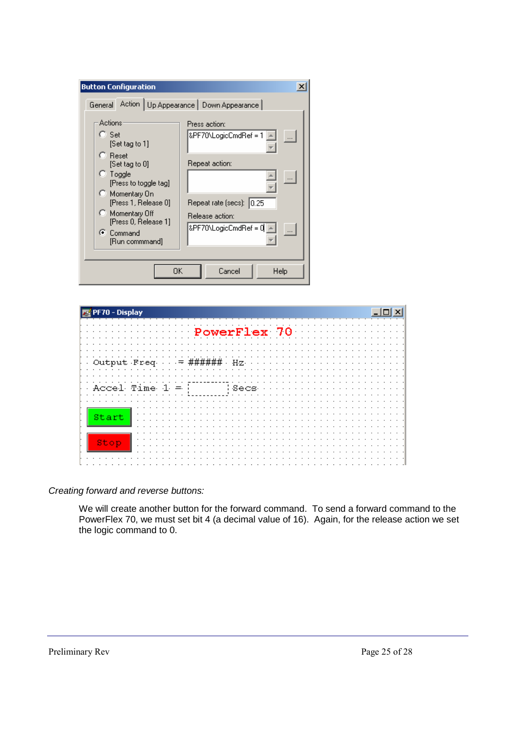| <b>Button Configuration</b>                                                                                                                                                                                                                     | $\times$                                                                                                                                            |  |
|-------------------------------------------------------------------------------------------------------------------------------------------------------------------------------------------------------------------------------------------------|-----------------------------------------------------------------------------------------------------------------------------------------------------|--|
| General Action   Up Appearance   Down Appearance                                                                                                                                                                                                |                                                                                                                                                     |  |
| Actions<br>$\Box$ Set<br>[Set tag to 1]<br><b>C</b> Reset<br>[Set tag to 0]<br>$\heartsuit$ Toggle<br>[Press to toggle tag]<br>C Momentary On<br>[Press 1, Release 0]<br>C Momentary Off<br>[Press 0, Release 1]<br>C Command<br>[Run commmand] | Press action:<br>&PF70\LogicCmdRef = 1<br>$\ldots$<br>Repeat action:<br>Repeat rate (secs): 0.25<br><b>Release action:</b><br>&PF70\LogicCmdRef = 0 |  |
| ΩK<br>Cancel<br>Help                                                                                                                                                                                                                            |                                                                                                                                                     |  |



Creating forward and reverse buttons:

We will create another button for the forward command. To send a forward command to the PowerFlex 70, we must set bit 4 (a decimal value of 16). Again, for the release action we set the logic command to 0.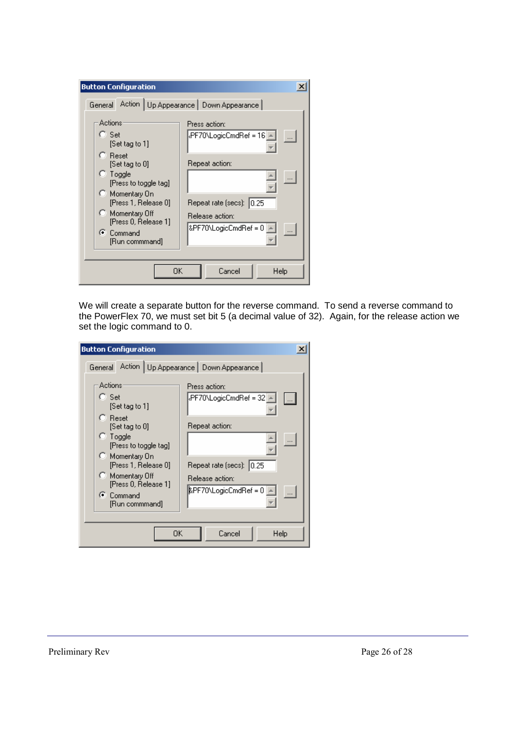| <b>Button Configuration</b>                                                                                                                                                                                                                                                                             | ×                                                                                                                                                                   |
|---------------------------------------------------------------------------------------------------------------------------------------------------------------------------------------------------------------------------------------------------------------------------------------------------------|---------------------------------------------------------------------------------------------------------------------------------------------------------------------|
| General Action   Up Appearance   Down Appearance  <br>Actions<br>C. Set<br>[Set tag to 1]<br><b>C</b> Reset<br>[Set tag to 0]<br>$\heartsuit$ Toggle<br>[Press to toggle tag]<br>C Momentary On<br>[Press 1, Release 0]<br>C Momentary Off<br>[Press 0, Release 1]<br>$\odot$ Command<br>[Run commmand] | Press action:<br>$ $ PF70\LogicCmdRef = 16 $\ $<br>$\ldots$<br>Repeat action:<br>Repeat rate (secs): 0.25<br>Release action:<br>&PF70\LogicCmdRef = 0 4<br>$\cdots$ |
| 0K.                                                                                                                                                                                                                                                                                                     | Cancel<br>Help                                                                                                                                                      |

We will create a separate button for the reverse command. To send a reverse command to the PowerFlex 70, we must set bit 5 (a decimal value of 32). Again, for the release action we set the logic command to 0.

| <b>Button Configuration</b>                                                                                                                                                                                                                                                        |                                                                                                                                                                                        |  |
|------------------------------------------------------------------------------------------------------------------------------------------------------------------------------------------------------------------------------------------------------------------------------------|----------------------------------------------------------------------------------------------------------------------------------------------------------------------------------------|--|
| General Action   Up Appearance   Down Appearance<br>Actions<br>$C$ Set<br>[Set tag to 1]<br>$\Box$ Reset<br>[Set tag to 0]<br>$\heartsuit$ Toggle<br>[Press to toggle tag]<br>C Momentary On<br>[Press 1, Release 0]<br>C Momentary Off<br>[Press 0, Release 1]<br>$\odot$ Command | ×<br>Press action:<br>kPF70\LogicCmdRef = 32   ▲.<br>$\overline{\phantom{a}}$<br>Repeat action:<br>Repeat rate (secs): 0.25<br>Release action:<br>$\kappa$ PF70\LogicCmdRef = 0 $\sim$ |  |
| [Run commmand]<br>OΚ                                                                                                                                                                                                                                                               | Cancel<br>Help                                                                                                                                                                         |  |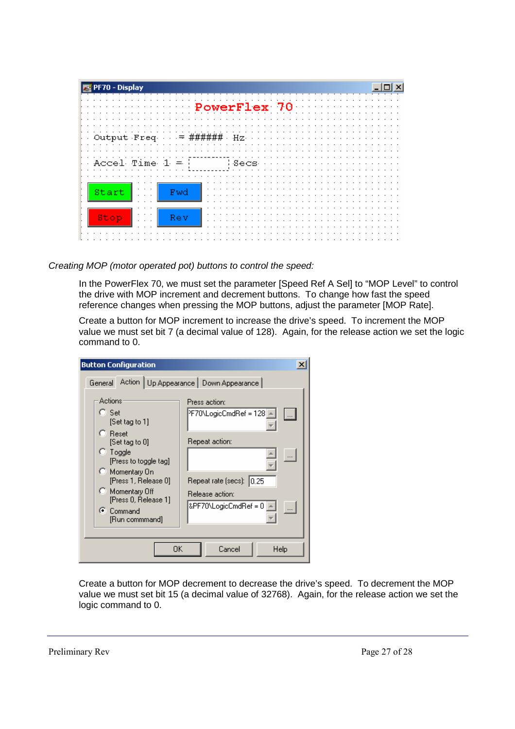| PF70 - Display                                  |  |
|-------------------------------------------------|--|
| PowerFlex 70                                    |  |
|                                                 |  |
| Output Freq<br>.H.Z.<br>$\cdot$                 |  |
| Accel Time $1 = 1$<br>i Secs -<br>$\cdot$       |  |
|                                                 |  |
| l Co<br>Start<br>Fwd                            |  |
| $\mathsf{stop}$ $\ $ $\ $ $\ $ $\ $ $\ $<br>Rev |  |
|                                                 |  |

#### Creating MOP (motor operated pot) buttons to control the speed:

In the PowerFlex 70, we must set the parameter [Speed Ref A Sel] to "MOP Level" to control the drive with MOP increment and decrement buttons. To change how fast the speed reference changes when pressing the MOP buttons, adjust the parameter [MOP Rate].

Create a button for MOP increment to increase the drive's speed. To increment the MOP value we must set bit 7 (a decimal value of 128). Again, for the release action we set the logic command to 0.

| <b>Button Configuration</b>                                                                                                                                                                                                                                                                    | ×                                                                                                                                   |
|------------------------------------------------------------------------------------------------------------------------------------------------------------------------------------------------------------------------------------------------------------------------------------------------|-------------------------------------------------------------------------------------------------------------------------------------|
| General Action   Up Appearance   Down Appearance  <br>Actions<br>$C$ Set<br>[Set tag to 1]<br>$C.$ Reset<br>[Set tag to 0]<br>$\heartsuit$ Toggle<br>[Press to toggle tag]<br>○ Momentary On<br>[Press 1, Release 0]<br>C Momentary Off<br>[Press 0, Release 1]<br>C Command<br>[Run commmand] | Press action:<br>PF70\LogicCmdRef = 128 A<br>Repeat action:<br>Repeat rate (secs): 0.25<br>Release action:<br>&PF70\LogicCmdRef = 0 |
| ΟK                                                                                                                                                                                                                                                                                             | Cancel<br>Help                                                                                                                      |

Create a button for MOP decrement to decrease the drive's speed. To decrement the MOP value we must set bit 15 (a decimal value of 32768). Again, for the release action we set the logic command to 0.

Preliminary Rev Page 27 of 28